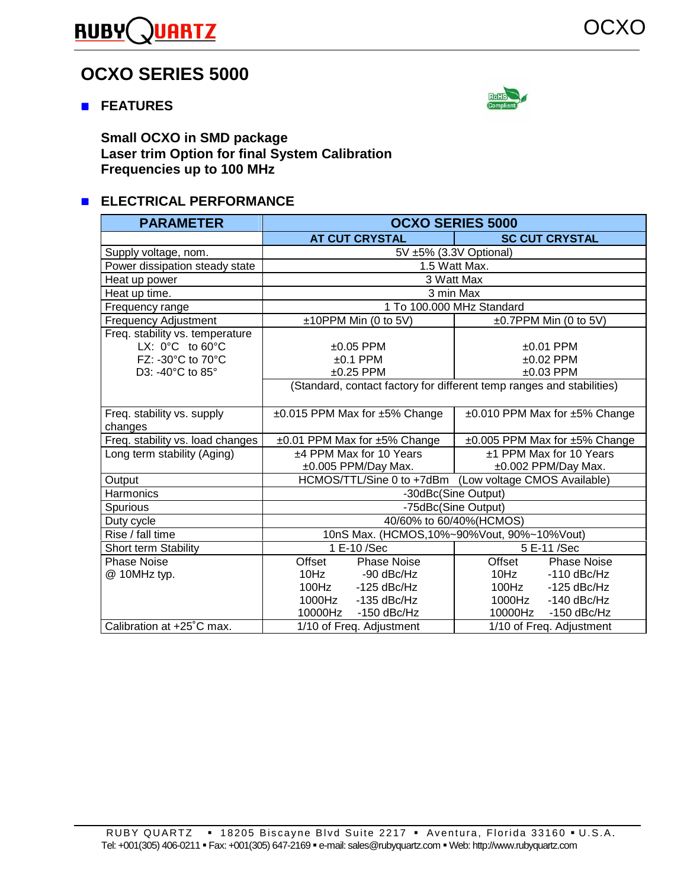## RUBY( **UARTZ**

# **OCXO SERIES 5000**

" **FEATURES** 



## **Small OCXO in SMD package Laser trim Option for final System Calibration Frequencies up to 100 MHz**

## **ELECTRICAL PERFORMANCE**

| <b>PARAMETER</b>                                                       | <b>OCXO SERIES 5000</b>                                               |                                          |  |  |  |  |
|------------------------------------------------------------------------|-----------------------------------------------------------------------|------------------------------------------|--|--|--|--|
|                                                                        | <b>AT CUT CRYSTAL</b>                                                 | <b>SC CUT CRYSTAL</b>                    |  |  |  |  |
| Supply voltage, nom.                                                   | 5V ±5% (3.3V Optional)                                                |                                          |  |  |  |  |
| Power dissipation steady state                                         | 1.5 Watt Max.                                                         |                                          |  |  |  |  |
| Heat up power                                                          | 3 Watt Max                                                            |                                          |  |  |  |  |
| Heat up time.                                                          | 3 min Max                                                             |                                          |  |  |  |  |
| Frequency range                                                        | 1 To 100.000 MHz Standard                                             |                                          |  |  |  |  |
| <b>Frequency Adjustment</b>                                            | ±10PPM Min (0 to 5V)                                                  | $\pm 0.7$ PPM Min (0 to 5V)              |  |  |  |  |
| Freq. stability vs. temperature<br>LX: $0^{\circ}$ C to $60^{\circ}$ C | $±0.05$ PPM                                                           | $±0.01$ PPM                              |  |  |  |  |
| FZ: -30°C to 70°C                                                      | $±0.1$ PPM                                                            | $±0.02$ PPM                              |  |  |  |  |
| D3: -40°C to 85°                                                       | $±0.25$ PPM                                                           | $±0.03$ PPM                              |  |  |  |  |
|                                                                        | (Standard, contact factory for different temp ranges and stabilities) |                                          |  |  |  |  |
| Freq. stability vs. supply<br>changes                                  | $\pm 0.015$ PPM Max for $\pm 5\%$ Change                              | $\pm 0.010$ PPM Max for $\pm 5\%$ Change |  |  |  |  |
| Freq. stability vs. load changes                                       | ±0.01 PPM Max for ±5% Change                                          | ±0.005 PPM Max for ±5% Change            |  |  |  |  |
| Long term stability (Aging)                                            | ±4 PPM Max for 10 Years                                               | ±1 PPM Max for 10 Years                  |  |  |  |  |
|                                                                        | ±0.005 PPM/Day Max.                                                   | ±0.002 PPM/Day Max.                      |  |  |  |  |
| Output                                                                 | HCMOS/TTL/Sine 0 to +7dBm (Low voltage CMOS Available)                |                                          |  |  |  |  |
| Harmonics                                                              | -30dBc(Sine Output)                                                   |                                          |  |  |  |  |
| Spurious                                                               | -75dBc(Sine Output)                                                   |                                          |  |  |  |  |
| Duty cycle                                                             | 40/60% to 60/40%(HCMOS)                                               |                                          |  |  |  |  |
| Rise / fall time                                                       | 10nS Max. (HCMOS, 10%~90%Vout, 90%~10%Vout)                           |                                          |  |  |  |  |
| Short term Stability                                                   | 1 E-10 /Sec                                                           | 5 E-11 /Sec                              |  |  |  |  |
| <b>Phase Noise</b>                                                     | Offset<br><b>Phase Noise</b>                                          | Offset<br><b>Phase Noise</b>             |  |  |  |  |
| @ 10MHz typ.                                                           | 10Hz<br>-90 dBc/Hz                                                    | 10Hz<br>$-110$ dBc/Hz                    |  |  |  |  |
|                                                                        | 100Hz<br>$-125$ dBc/Hz                                                | 100Hz<br>$-125$ dBc/Hz                   |  |  |  |  |
|                                                                        | 1000Hz<br>$-135$ dBc/Hz                                               | 1000Hz<br>$-140$ dBc/Hz                  |  |  |  |  |
|                                                                        | 10000Hz<br>$-150$ dBc/Hz                                              | 10000Hz<br>$-150$ dBc/Hz                 |  |  |  |  |
| Calibration at +25°C max.                                              | 1/10 of Freq. Adjustment                                              | 1/10 of Freq. Adjustment                 |  |  |  |  |